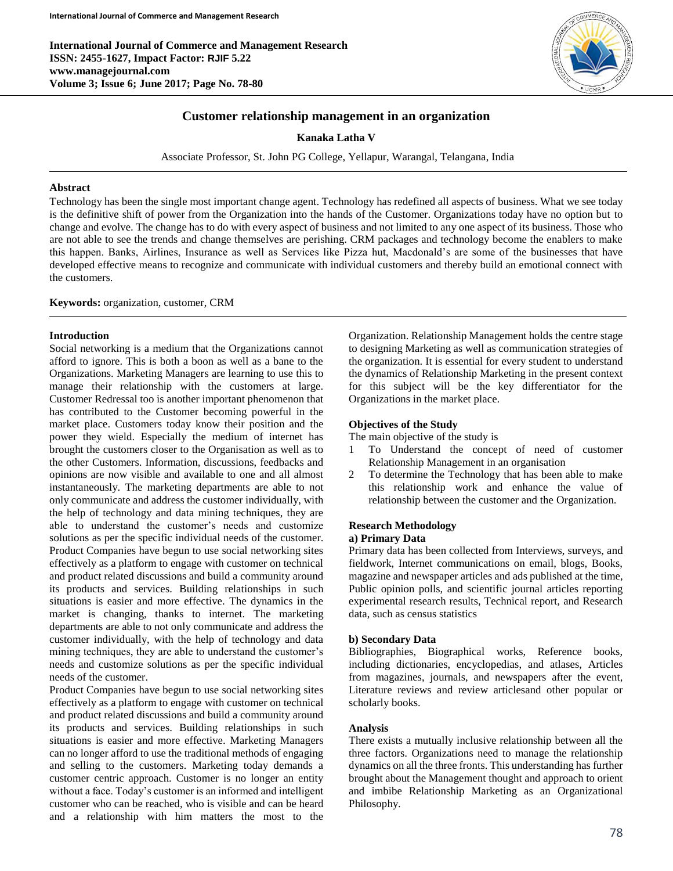**International Journal of Commerce and Management Research ISSN: 2455-1627, Impact Factor: RJIF 5.22 www.managejournal.com Volume 3; Issue 6; June 2017; Page No. 78-80**



### **Customer relationship management in an organization**

**Kanaka Latha V**

Associate Professor, St. John PG College, Yellapur, Warangal, Telangana, India

### **Abstract**

Technology has been the single most important change agent. Technology has redefined all aspects of business. What we see today is the definitive shift of power from the Organization into the hands of the Customer. Organizations today have no option but to change and evolve. The change has to do with every aspect of business and not limited to any one aspect of its business. Those who are not able to see the trends and change themselves are perishing. CRM packages and technology become the enablers to make this happen. Banks, Airlines, Insurance as well as Services like Pizza hut, Macdonald's are some of the businesses that have developed effective means to recognize and communicate with individual customers and thereby build an emotional connect with the customers.

#### **Keywords:** organization, customer, CRM

#### **Introduction**

Social networking is a medium that the Organizations cannot afford to ignore. This is both a boon as well as a bane to the Organizations. Marketing Managers are learning to use this to manage their relationship with the customers at large. Customer Redressal too is another important phenomenon that has contributed to the Customer becoming powerful in the market place. Customers today know their position and the power they wield. Especially the medium of internet has brought the customers closer to the Organisation as well as to the other Customers. Information, discussions, feedbacks and opinions are now visible and available to one and all almost instantaneously. The marketing departments are able to not only communicate and address the customer individually, with the help of technology and data mining techniques, they are able to understand the customer's needs and customize solutions as per the specific individual needs of the customer. Product Companies have begun to use social networking sites effectively as a platform to engage with customer on technical and product related discussions and build a community around its products and services. Building relationships in such situations is easier and more effective. The dynamics in the market is changing, thanks to internet. The marketing departments are able to not only communicate and address the customer individually, with the help of technology and data mining techniques, they are able to understand the customer's needs and customize solutions as per the specific individual needs of the customer.

Product Companies have begun to use social networking sites effectively as a platform to engage with customer on technical and product related discussions and build a community around its products and services. Building relationships in such situations is easier and more effective. Marketing Managers can no longer afford to use the traditional methods of engaging and selling to the customers. Marketing today demands a customer centric approach. Customer is no longer an entity without a face. Today's customer is an informed and intelligent customer who can be reached, who is visible and can be heard and a relationship with him matters the most to the

Organization. Relationship Management holds the centre stage to designing Marketing as well as communication strategies of the organization. It is essential for every student to understand the dynamics of Relationship Marketing in the present context for this subject will be the key differentiator for the Organizations in the market place.

### **Objectives of the Study**

The main objective of the study is

- 1 To Understand the concept of need of customer Relationship Management in an organisation
- 2 To determine the Technology that has been able to make this relationship work and enhance the value of relationship between the customer and the Organization.

### **Research Methodology**

# **a) Primary Data**

Primary data has been collected from Interviews, surveys, and fieldwork, Internet communications on email, blogs, Books, magazine and newspaper articles and ads published at the time, Public opinion polls, and scientific journal articles reporting experimental research results, Technical report, and Research data, such as census statistics

#### **b) Secondary Data**

Bibliographies, Biographical works, Reference books, including dictionaries, encyclopedias, and atlases, Articles from magazines, journals, and newspapers after the event, Literature reviews and review articlesand other popular or scholarly books.

### **Analysis**

There exists a mutually inclusive relationship between all the three factors. Organizations need to manage the relationship dynamics on all the three fronts. This understanding has further brought about the Management thought and approach to orient and imbibe Relationship Marketing as an Organizational Philosophy.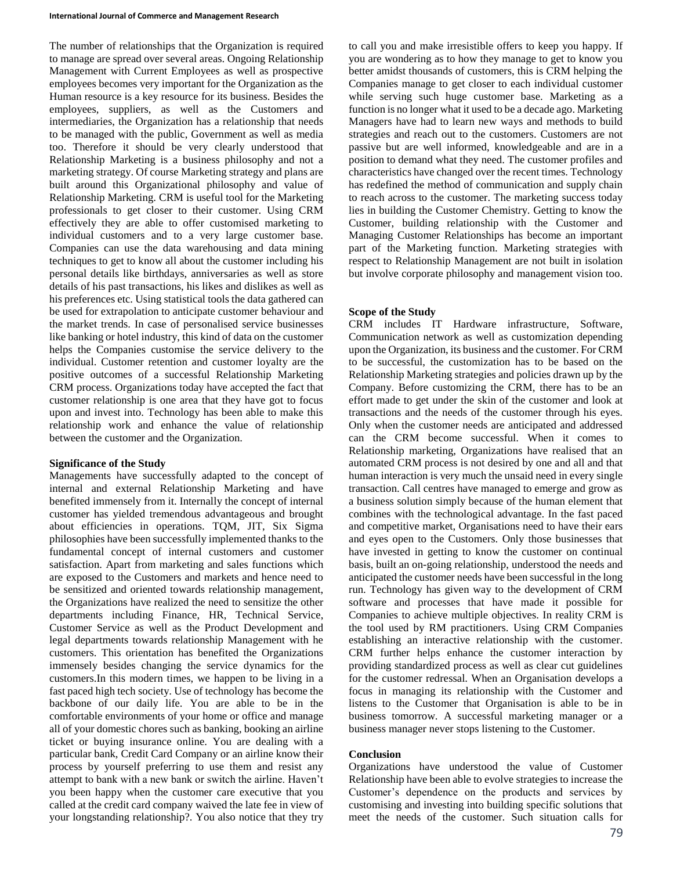The number of relationships that the Organization is required to manage are spread over several areas. Ongoing Relationship Management with Current Employees as well as prospective employees becomes very important for the Organization as the Human resource is a key resource for its business. Besides the employees, suppliers, as well as the Customers and intermediaries, the Organization has a relationship that needs to be managed with the public, Government as well as media too. Therefore it should be very clearly understood that Relationship Marketing is a business philosophy and not a marketing strategy. Of course Marketing strategy and plans are built around this Organizational philosophy and value of Relationship Marketing. CRM is useful tool for the Marketing professionals to get closer to their customer. Using CRM effectively they are able to offer customised marketing to individual customers and to a very large customer base. Companies can use the data warehousing and data mining techniques to get to know all about the customer including his personal details like birthdays, anniversaries as well as store details of his past transactions, his likes and dislikes as well as his preferences etc. Using statistical tools the data gathered can be used for extrapolation to anticipate customer behaviour and the market trends. In case of personalised service businesses like banking or hotel industry, this kind of data on the customer helps the Companies customise the service delivery to the individual. Customer retention and customer loyalty are the positive outcomes of a successful Relationship Marketing CRM process. Organizations today have accepted the fact that customer relationship is one area that they have got to focus upon and invest into. Technology has been able to make this relationship work and enhance the value of relationship between the customer and the Organization.

# **Significance of the Study**

Managements have successfully adapted to the concept of internal and external Relationship Marketing and have benefited immensely from it. Internally the concept of internal customer has yielded tremendous advantageous and brought about efficiencies in operations. TQM, JIT, Six Sigma philosophies have been successfully implemented thanks to the fundamental concept of internal customers and customer satisfaction. Apart from marketing and sales functions which are exposed to the Customers and markets and hence need to be sensitized and oriented towards relationship management, the Organizations have realized the need to sensitize the other departments including Finance, HR, Technical Service, Customer Service as well as the Product Development and legal departments towards relationship Management with he customers. This orientation has benefited the Organizations immensely besides changing the service dynamics for the customers.In this modern times, we happen to be living in a fast paced high tech society. Use of technology has become the backbone of our daily life. You are able to be in the comfortable environments of your home or office and manage all of your domestic chores such as banking, booking an airline ticket or buying insurance online. You are dealing with a particular bank, Credit Card Company or an airline know their process by yourself preferring to use them and resist any attempt to bank with a new bank or switch the airline. Haven't you been happy when the customer care executive that you called at the credit card company waived the late fee in view of your longstanding relationship?. You also notice that they try to call you and make irresistible offers to keep you happy. If you are wondering as to how they manage to get to know you better amidst thousands of customers, this is CRM helping the Companies manage to get closer to each individual customer while serving such huge customer base. Marketing as a function is no longer what it used to be a decade ago. Marketing Managers have had to learn new ways and methods to build strategies and reach out to the customers. Customers are not passive but are well informed, knowledgeable and are in a position to demand what they need. The customer profiles and characteristics have changed over the recent times. Technology has redefined the method of communication and supply chain to reach across to the customer. The marketing success today lies in building the Customer Chemistry. Getting to know the Customer, building relationship with the Customer and Managing Customer Relationships has become an important part of the Marketing function. Marketing strategies with respect to Relationship Management are not built in isolation but involve corporate philosophy and management vision too.

# **Scope of the Study**

CRM includes IT Hardware infrastructure, Software, Communication network as well as customization depending upon the Organization, its business and the customer. For CRM to be successful, the customization has to be based on the Relationship Marketing strategies and policies drawn up by the Company. Before customizing the CRM, there has to be an effort made to get under the skin of the customer and look at transactions and the needs of the customer through his eyes. Only when the customer needs are anticipated and addressed can the CRM become successful. When it comes to Relationship marketing, Organizations have realised that an automated CRM process is not desired by one and all and that human interaction is very much the unsaid need in every single transaction. Call centres have managed to emerge and grow as a business solution simply because of the human element that combines with the technological advantage. In the fast paced and competitive market, Organisations need to have their ears and eyes open to the Customers. Only those businesses that have invested in getting to know the customer on continual basis, built an on-going relationship, understood the needs and anticipated the customer needs have been successful in the long run. Technology has given way to the development of CRM software and processes that have made it possible for Companies to achieve multiple objectives. In reality CRM is the tool used by RM practitioners. Using CRM Companies establishing an interactive relationship with the customer. CRM further helps enhance the customer interaction by providing standardized process as well as clear cut guidelines for the customer redressal. When an Organisation develops a focus in managing its relationship with the Customer and listens to the Customer that Organisation is able to be in business tomorrow. A successful marketing manager or a business manager never stops listening to the Customer.

# **Conclusion**

Organizations have understood the value of Customer Relationship have been able to evolve strategies to increase the Customer's dependence on the products and services by customising and investing into building specific solutions that meet the needs of the customer. Such situation calls for